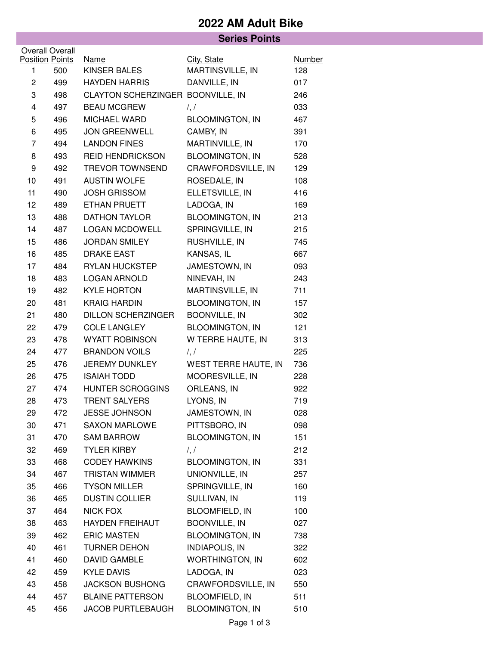## **2022 AM Adult Bike**

|                             |     | <b>Series Points</b>              |                                     |                      |
|-----------------------------|-----|-----------------------------------|-------------------------------------|----------------------|
| <b>Overall Overall</b>      |     |                                   |                                     |                      |
| <b>Position Points</b><br>1 | 500 | <b>Name</b><br>KINSER BALES       | City, State<br>MARTINSVILLE, IN     | <b>Number</b><br>128 |
| $\overline{c}$              | 499 | <b>HAYDEN HARRIS</b>              | DANVILLE, IN                        | 017                  |
| 3                           | 498 | CLAYTON SCHERZINGER BOONVILLE, IN |                                     | 246                  |
| 4                           | 497 | <b>BEAU MCGREW</b>                |                                     | 033                  |
|                             |     |                                   | $\frac{1}{2}$                       |                      |
| 5                           | 496 | MICHAEL WARD                      | <b>BLOOMINGTON, IN</b><br>CAMBY, IN | 467                  |
| 6                           | 495 | <b>JON GREENWELL</b>              |                                     | 391                  |
| 7                           | 494 | <b>LANDON FINES</b>               | MARTINVILLE, IN                     | 170                  |
| 8                           | 493 | <b>REID HENDRICKSON</b>           | <b>BLOOMINGTON, IN</b>              | 528                  |
| 9                           | 492 | <b>TREVOR TOWNSEND</b>            | CRAWFORDSVILLE, IN                  | 129                  |
| 10                          | 491 | <b>AUSTIN WOLFE</b>               | ROSEDALE, IN                        | 108                  |
| 11                          | 490 | <b>JOSH GRISSOM</b>               | ELLETSVILLE, IN                     | 416                  |
| 12                          | 489 | ETHAN PRUETT                      | LADOGA, IN                          | 169                  |
| 13                          | 488 | DATHON TAYLOR                     | <b>BLOOMINGTON, IN</b>              | 213                  |
| 14                          | 487 | <b>LOGAN MCDOWELL</b>             | SPRINGVILLE, IN                     | 215                  |
| 15                          | 486 | <b>JORDAN SMILEY</b>              | RUSHVILLE, IN                       | 745                  |
| 16                          | 485 | <b>DRAKE EAST</b>                 | KANSAS, IL                          | 667                  |
| 17                          | 484 | <b>RYLAN HUCKSTEP</b>             | JAMESTOWN, IN                       | 093                  |
| 18                          | 483 | <b>LOGAN ARNOLD</b>               | NINEVAH, IN                         | 243                  |
| 19                          | 482 | <b>KYLE HORTON</b>                | MARTINSVILLE, IN                    | 711                  |
| 20                          | 481 | <b>KRAIG HARDIN</b>               | <b>BLOOMINGTON, IN</b>              | 157                  |
| 21                          | 480 | <b>DILLON SCHERZINGER</b>         | <b>BOONVILLE, IN</b>                | 302                  |
| 22                          | 479 | <b>COLE LANGLEY</b>               | <b>BLOOMINGTON, IN</b>              | 121                  |
| 23                          | 478 | <b>WYATT ROBINSON</b>             | W TERRE HAUTE, IN                   | 313                  |
| 24                          | 477 | <b>BRANDON VOILS</b>              | $\frac{1}{2}$                       | 225                  |
| 25                          | 476 | <b>JEREMY DUNKLEY</b>             | WEST TERRE HAUTE, IN                | 736                  |
| 26                          | 475 | <b>ISAIAH TODD</b>                | MOORESVILLE, IN                     | 228                  |
| 27                          | 474 | <b>HUNTER SCROGGINS</b>           | ORLEANS, IN                         | 922                  |
| 28                          | 473 | <b>TRENT SALYERS</b>              | LYONS, IN                           | 719                  |
| 29                          | 472 | <b>JESSE JOHNSON</b>              | JAMESTOWN, IN                       | 028                  |
| 30                          | 471 | <b>SAXON MARLOWE</b>              | PITTSBORO, IN                       | 098                  |
| 31                          | 470 | <b>SAM BARROW</b>                 | <b>BLOOMINGTON, IN</b>              | 151                  |
| 32                          | 469 | <b>TYLER KIRBY</b>                | $\frac{1}{2}$                       | 212                  |
| 33                          | 468 | <b>CODEY HAWKINS</b>              | <b>BLOOMINGTON, IN</b>              | 331                  |
| 34                          | 467 | TRISTAN WIMMER                    | UNIONVILLE, IN                      | 257                  |
| 35                          | 466 | <b>TYSON MILLER</b>               | SPRINGVILLE, IN                     | 160                  |
| 36                          | 465 | <b>DUSTIN COLLIER</b>             | SULLIVAN, IN                        | 119                  |
| 37                          | 464 | <b>NICK FOX</b>                   | <b>BLOOMFIELD, IN</b>               | 100                  |
| 38                          | 463 | <b>HAYDEN FREIHAUT</b>            | <b>BOONVILLE, IN</b>                | 027                  |
| 39                          | 462 | <b>ERIC MASTEN</b>                | <b>BLOOMINGTON, IN</b>              | 738                  |
| 40                          | 461 | TURNER DEHON                      | <b>INDIAPOLIS, IN</b>               | 322                  |
| 41                          | 460 | <b>DAVID GAMBLE</b>               | <b>WORTHINGTON, IN</b>              | 602                  |
| 42                          | 459 | <b>KYLE DAVIS</b>                 | LADOGA, IN                          | 023                  |
| 43                          | 458 | <b>JACKSON BUSHONG</b>            | CRAWFORDSVILLE, IN                  | 550                  |
| 44                          | 457 | <b>BLAINE PATTERSON</b>           | <b>BLOOMFIELD, IN</b>               | 511                  |
| 45                          | 456 | <b>JACOB PURTLEBAUGH</b>          | <b>BLOOMINGTON, IN</b>              | 510                  |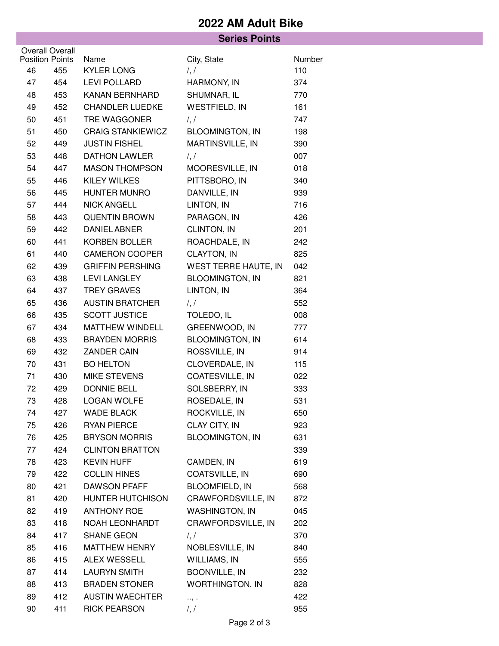## **2022 AM Adult Bike**

|                              |     | <b>Series Points</b>             |                                  |                      |
|------------------------------|-----|----------------------------------|----------------------------------|----------------------|
| <b>Overall Overall</b>       |     |                                  |                                  |                      |
| <b>Position Points</b><br>46 | 455 | <b>Name</b><br><b>KYLER LONG</b> | City, State<br>$\frac{1}{2}$     | <b>Number</b><br>110 |
| 47                           | 454 | LEVI POLLARD                     | HARMONY, IN                      | 374                  |
| 48                           | 453 | <b>KANAN BERNHARD</b>            | SHUMNAR, IL                      | 770                  |
| 49                           | 452 | <b>CHANDLER LUEDKE</b>           | WESTFIELD, IN                    | 161                  |
| 50                           | 451 | TRE WAGGONER                     | $\frac{1}{2}$                    | 747                  |
| 51                           | 450 | <b>CRAIG STANKIEWICZ</b>         | <b>BLOOMINGTON, IN</b>           | 198                  |
| 52                           | 449 | <b>JUSTIN FISHEL</b>             | MARTINSVILLE, IN                 | 390                  |
| 53                           | 448 | <b>DATHON LAWLER</b>             | $\frac{1}{2}$                    | 007                  |
| 54                           | 447 | <b>MASON THOMPSON</b>            | MOORESVILLE, IN                  | 018                  |
| 55                           | 446 | <b>KILEY WILKES</b>              | PITTSBORO, IN                    | 340                  |
| 56                           | 445 | <b>HUNTER MUNRO</b>              | DANVILLE, IN                     | 939                  |
| 57                           | 444 | <b>NICK ANGELL</b>               | LINTON, IN                       | 716                  |
| 58                           | 443 | <b>QUENTIN BROWN</b>             | PARAGON, IN                      | 426                  |
| 59                           | 442 | <b>DANIEL ABNER</b>              | CLINTON, IN                      | 201                  |
| 60                           | 441 | KORBEN BOLLER                    | ROACHDALE, IN                    | 242                  |
| 61                           | 440 | <b>CAMERON COOPER</b>            | <b>CLAYTON, IN</b>               | 825                  |
| 62                           | 439 | <b>GRIFFIN PERSHING</b>          | WEST TERRE HAUTE, IN             | 042                  |
| 63                           | 438 | <b>LEVI LANGLEY</b>              | <b>BLOOMINGTON, IN</b>           | 821                  |
| 64                           | 437 | <b>TREY GRAVES</b>               | LINTON, IN                       | 364                  |
| 65                           | 436 | <b>AUSTIN BRATCHER</b>           | $\frac{1}{2}$                    | 552                  |
| 66                           | 435 | <b>SCOTT JUSTICE</b>             | TOLEDO, IL                       | 008                  |
| 67                           | 434 | MATTHEW WINDELL                  | GREENWOOD, IN                    | 777                  |
| 68                           | 433 | <b>BRAYDEN MORRIS</b>            | <b>BLOOMINGTON, IN</b>           | 614                  |
| 69                           | 432 | <b>ZANDER CAIN</b>               | ROSSVILLE, IN                    | 914                  |
| 70                           | 431 | <b>BO HELTON</b>                 | CLOVERDALE, IN                   | 115                  |
| 71                           | 430 | MIKE STEVENS                     | COATESVILLE, IN                  | 022                  |
| 72                           | 429 | <b>DONNIE BELL</b>               | SOLSBERRY, IN                    | 333                  |
| 73                           | 428 | LOGAN WOLFE                      | ROSEDALE, IN                     | 531                  |
| 74                           | 427 | <b>WADE BLACK</b>                | ROCKVILLE, IN                    | 650                  |
| 75                           | 426 | <b>RYAN PIERCE</b>               | <b>CLAY CITY, IN</b>             | 923                  |
| 76                           | 425 | <b>BRYSON MORRIS</b>             | <b>BLOOMINGTON, IN</b>           | 631                  |
| 77                           | 424 | <b>CLINTON BRATTON</b>           |                                  | 339                  |
| 78                           | 423 | <b>KEVIN HUFF</b>                | CAMDEN, IN                       | 619                  |
| 79                           | 422 | <b>COLLIN HINES</b>              | COATSVILLE, IN                   | 690                  |
| 80                           | 421 | <b>DAWSON PFAFF</b>              | <b>BLOOMFIELD, IN</b>            | 568                  |
| 81                           | 420 | <b>HUNTER HUTCHISON</b>          | CRAWFORDSVILLE, IN               | 872                  |
| 82                           | 419 | <b>ANTHONY ROE</b>               | <b>WASHINGTON, IN</b>            | 045                  |
| 83                           | 418 | NOAH LEONHARDT                   | CRAWFORDSVILLE, IN               | 202                  |
| 84                           | 417 | SHANE GEON                       |                                  | 370                  |
| 85                           | 416 | MATTHEW HENRY                    | $\frac{1}{2}$<br>NOBLESVILLE, IN | 840                  |
| 86                           | 415 | <b>ALEX WESSELL</b>              | WILLIAMS, IN                     |                      |
| 87                           | 414 | <b>LAURYN SMITH</b>              | BOONVILLE, IN                    | 555<br>232           |
| 88                           | 413 | <b>BRADEN STONER</b>             | <b>WORTHINGTON, IN</b>           | 828                  |
| 89                           | 412 | <b>AUSTIN WAECHTER</b>           |                                  | 422                  |
| 90                           | 411 | <b>RICK PEARSON</b>              | $\ldots$<br>$\frac{1}{2}$        | 955                  |
|                              |     |                                  |                                  |                      |